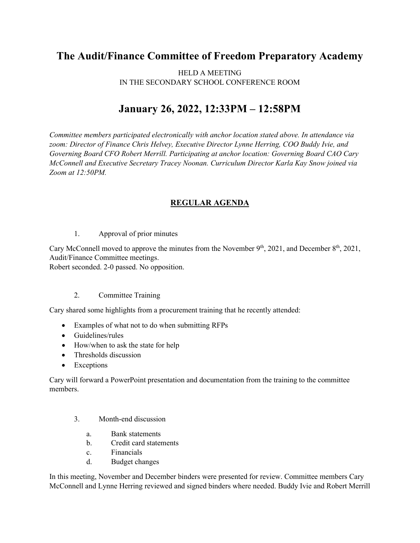## **The Audit/Finance Committee of Freedom Preparatory Academy**

HELD A MEETING IN THE SECONDARY SCHOOL CONFERENCE ROOM

## **January 26, 2022, 12:33PM – 12:58PM**

*Committee members participated electronically with anchor location stated above. In attendance via zoom: Director of Finance Chris Helvey, Executive Director Lynne Herring, COO Buddy Ivie, and Governing Board CFO Robert Merrill. Participating at anchor location: Governing Board CAO Cary McConnell and Executive Secretary Tracey Noonan. Curriculum Director Karla Kay Snow joined via Zoom at 12:50PM.*

## **REGULAR AGENDA**

1. Approval of prior minutes

Cary McConnell moved to approve the minutes from the November  $9<sup>th</sup>$ , 2021, and December  $8<sup>th</sup>$ , 2021, Audit/Finance Committee meetings.

Robert seconded. 2-0 passed. No opposition.

## 2. Committee Training

Cary shared some highlights from a procurement training that he recently attended:

- Examples of what not to do when submitting RFPs
- Guidelines/rules
- How/when to ask the state for help
- Thresholds discussion
- Exceptions

Cary will forward a PowerPoint presentation and documentation from the training to the committee members.

- 3. Month-end discussion
	- a. Bank statements
	- b. Credit card statements
	- c. Financials
	- d. Budget changes

In this meeting, November and December binders were presented for review. Committee members Cary McConnell and Lynne Herring reviewed and signed binders where needed. Buddy Ivie and Robert Merrill